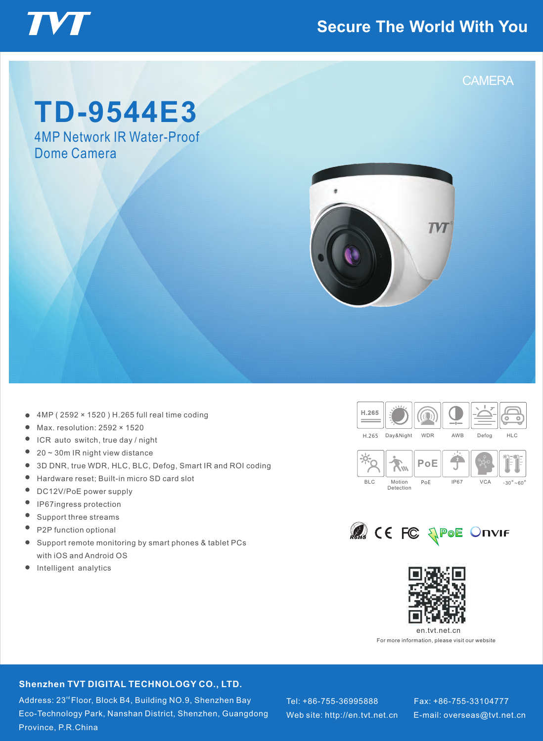### **Secure The World With You**



## **TD-9544E3**

4MP Network IR Water-Proof Dome Camera



- 4MP ( 2592 × 1520 ) H.265 full real time coding
- Max. resolution: 2592 × 1520  $\bullet$
- $\bullet$ ICR auto switch, true day / night
- $\bullet$ 20 ~ 30m IR night view distance
- $\bullet$ 3D DNR, true WDR, HLC, BLC, Defog, Smart IR and ROI coding
- $\bullet$ Hardware reset; Built-in micro SD card slot
- $\bullet$ DC12V/PoE power supply
- $\bullet$ IP67ingress protection
- $\bullet$ Support three streams
- $\bullet$ P2P function optional
- Support remote monitoring by smart phones & tablet PCs  $\bullet$ with iOS and Android OS
- $\bullet$ Intelligent analytics







For more information, please visit our website

#### **Shenzhen TVT DIGITAL TECHNOLOGY CO., LTD.**

**TVT DIGITAL TECHNOLOGY CO., LTD.**

Address: 23<sup>rd</sup>Floor, Block B4, Building NO.9, Shenzhen Bay Eco-Technology Park, Nanshan District, Shenzhen, Guangdong  $\blacksquare$ Province, P.R.China

Web site: http://en.tvt.net.cn  $\quad$  E-mail: overseas@tvt.net.cn Tel: +86-755-36995888 Fax: +86-755-33104777